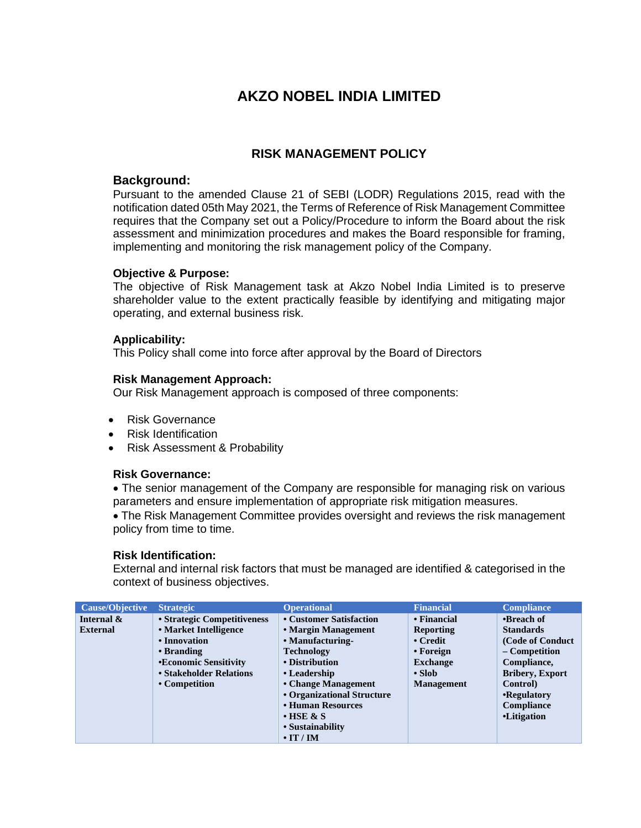# **AKZO NOBEL INDIA LIMITED**

## **RISK MANAGEMENT POLICY**

## **Background:**

Pursuant to the amended Clause 21 of SEBI (LODR) Regulations 2015, read with the notification dated 05th May 2021, the Terms of Reference of Risk Management Committee requires that the Company set out a Policy/Procedure to inform the Board about the risk assessment and minimization procedures and makes the Board responsible for framing, implementing and monitoring the risk management policy of the Company.

## **Objective & Purpose:**

The objective of Risk Management task at Akzo Nobel India Limited is to preserve shareholder value to the extent practically feasible by identifying and mitigating major operating, and external business risk.

## **Applicability:**

This Policy shall come into force after approval by the Board of Directors

## **Risk Management Approach:**

Our Risk Management approach is composed of three components:

- Risk Governance
- Risk Identification
- Risk Assessment & Probability

## **Risk Governance:**

• The senior management of the Company are responsible for managing risk on various parameters and ensure implementation of appropriate risk mitigation measures.

• The Risk Management Committee provides oversight and reviews the risk management policy from time to time.

## **Risk Identification:**

External and internal risk factors that must be managed are identified & categorised in the context of business objectives.

| <b>Cause/Objective</b> | <b>Strategic</b>            | <b>Operational</b>         | <b>Financial</b>  | <b>Compliance</b>      |
|------------------------|-----------------------------|----------------------------|-------------------|------------------------|
| Internal &             | • Strategic Competitiveness | • Customer Satisfaction    | • Financial       | •Breach of             |
| <b>External</b>        | • Market Intelligence       | • Margin Management        | <b>Reporting</b>  | <b>Standards</b>       |
|                        | • Innovation                | • Manufacturing-           | $\bullet$ Credit  | (Code of Conduct)      |
|                        | • Branding                  | <b>Technology</b>          | • Foreign         | – Competition          |
|                        | •Economic Sensitivity       | • Distribution             | <b>Exchange</b>   | Compliance,            |
|                        | • Stakeholder Relations     | • Leadership               | $\cdot$ Slob      | <b>Bribery, Export</b> |
|                        | • Competition               | • Change Management        | <b>Management</b> | Control)               |
|                        |                             | • Organizational Structure |                   | •Regulatory            |
|                        |                             | • Human Resources          |                   | Compliance             |
|                        |                             | $\cdot$ HSE & S            |                   | •Litigation            |
|                        |                             | • Sustainability           |                   |                        |
|                        |                             | $\cdot$ IT / IM            |                   |                        |